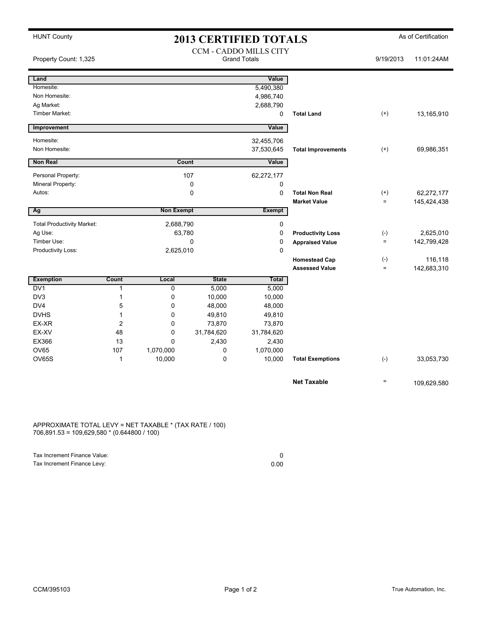|  | <b>HUNT County</b> |
|--|--------------------|
|--|--------------------|

## HUNT County **As of Certification 2013 CERTIFIED TOTALS** As of Certification CM - CADDO MILLS CIT

| Property Count: 1,325             |                | CCM - CADDO MILLS CITY<br><b>Grand Totals</b> |              |                        |                           | 9/19/2013 | 11:01:24AM  |
|-----------------------------------|----------------|-----------------------------------------------|--------------|------------------------|---------------------------|-----------|-------------|
| Land<br>Homesite:                 |                |                                               |              | Value                  |                           |           |             |
| Non Homesite:                     |                |                                               |              | 5,490,380<br>4,986,740 |                           |           |             |
| Ag Market:                        |                |                                               |              | 2,688,790              |                           |           |             |
| Timber Market:                    |                |                                               |              | $\mathbf 0$            | <b>Total Land</b>         | $(+)$     | 13,165,910  |
|                                   |                |                                               |              |                        |                           |           |             |
| Improvement                       |                |                                               |              | Value                  |                           |           |             |
| Homesite:                         |                |                                               |              | 32,455,706             |                           |           |             |
| Non Homesite:                     |                |                                               |              | 37,530,645             | <b>Total Improvements</b> | $^{(+)}$  | 69,986,351  |
|                                   |                |                                               |              |                        |                           |           |             |
| Non Real                          |                |                                               | Count        | Value                  |                           |           |             |
| Personal Property:                |                |                                               | 107          | 62,272,177             |                           |           |             |
| Mineral Property:                 |                |                                               | 0            | 0                      |                           |           |             |
| Autos:                            |                |                                               | $\mathbf 0$  | $\mathbf 0$            | <b>Total Non Real</b>     | $^{(+)}$  | 62,272,177  |
|                                   |                |                                               |              |                        | <b>Market Value</b>       | $\equiv$  | 145,424,438 |
| Ag                                |                | <b>Non Exempt</b>                             |              | <b>Exempt</b>          |                           |           |             |
| <b>Total Productivity Market:</b> |                | 2,688,790                                     |              | 0                      |                           |           |             |
| Ag Use:                           |                | 63,780                                        |              | 0                      | <b>Productivity Loss</b>  | $(-)$     | 2,625,010   |
| Timber Use:                       |                | $\mathbf 0$                                   |              | $\mathbf 0$            | <b>Appraised Value</b>    | $\equiv$  | 142,799,428 |
| Productivity Loss:                |                | 2,625,010                                     |              |                        |                           |           |             |
|                                   |                |                                               |              | <b>Homestead Cap</b>   | $(-)$                     | 116,118   |             |
|                                   |                |                                               |              |                        | <b>Assessed Value</b>     | $\equiv$  | 142,683,310 |
| <b>Exemption</b>                  | Count          | Local                                         | <b>State</b> | Total                  |                           |           |             |
| DV <sub>1</sub>                   | 1              | 0                                             | 5,000        | 5,000                  |                           |           |             |
| DV <sub>3</sub>                   | 1              | 0                                             | 10,000       | 10,000                 |                           |           |             |
| DV4                               | 5              | 0                                             | 48,000       | 48,000                 |                           |           |             |
| <b>DVHS</b>                       | 1              | 0                                             | 49,810       | 49,810                 |                           |           |             |
| EX-XR                             | $\overline{2}$ | 0                                             | 73,870       | 73,870                 |                           |           |             |
| EX-XV                             | 48             | 0                                             | 31,784,620   | 31,784,620             |                           |           |             |
| EX366                             | 13             | 0                                             | 2,430        | 2,430                  |                           |           |             |
| OV65                              | 107            | 1,070,000                                     | 0            | 1,070,000              |                           |           |             |
| OV65S                             | 1              | 10,000                                        | 0            | 10,000                 | <b>Total Exemptions</b>   | $(-)$     | 33,053,730  |
|                                   |                |                                               |              |                        |                           |           |             |
|                                   |                |                                               |              |                        | <b>Net Taxable</b>        | $\equiv$  | 109,629,580 |

APPROXIMATE TOTAL LEVY = NET TAXABLE \* (TAX RATE / 100) 706,891.53 = 109,629,580 \* (0.644800 / 100)

Tax Increment Finance Value: 0 Tax Increment Finance Levy: 0.00